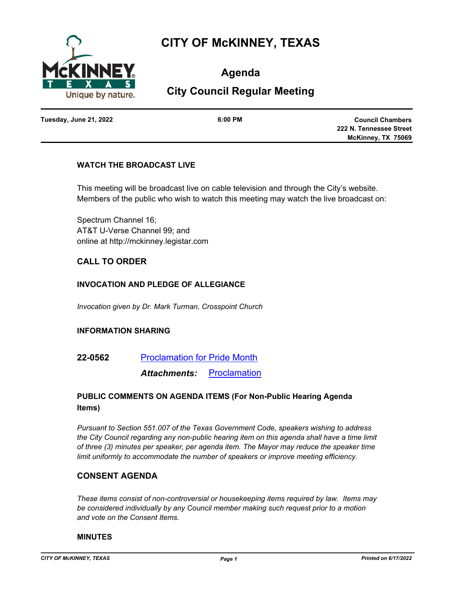

# **CITY OF McKINNEY, TEXAS**

**Agenda**

# **City Council Regular Meeting**

**Tuesday, June 21, 2022 6:00 PM**

**Council Chambers 222 N. Tennessee Street McKinney, TX 75069**

#### **WATCH THE BROADCAST LIVE**

This meeting will be broadcast live on cable television and through the City's website. Members of the public who wish to watch this meeting may watch the live broadcast on:

Spectrum Channel 16; AT&T U-Verse Channel 99; and online at http://mckinney.legistar.com

# **CALL TO ORDER**

#### **INVOCATION AND PLEDGE OF ALLEGIANCE**

*Invocation given by Dr. Mark Turman, Crosspoint Church*

#### **INFORMATION SHARING**

**22-0562** [Proclamation for Pride Month](http://mckinney.legistar.com/gateway.aspx?m=l&id=23984)

*Attachments:* [Proclamation](http://McKinney.legistar.com/gateway.aspx?M=F&ID=93ca5176-b8c6-46a1-941f-6512fcccd564.pdf)

#### **PUBLIC COMMENTS ON AGENDA ITEMS (For Non-Public Hearing Agenda Items)**

*Pursuant to Section 551.007 of the Texas Government Code, speakers wishing to address the City Council regarding any non-public hearing item on this agenda shall have a time limit of three (3) minutes per speaker, per agenda item. The Mayor may reduce the speaker time limit uniformly to accommodate the number of speakers or improve meeting efficiency.*

#### **CONSENT AGENDA**

*These items consist of non-controversial or housekeeping items required by law. Items may be considered individually by any Council member making such request prior to a motion and vote on the Consent Items.*

#### **MINUTES**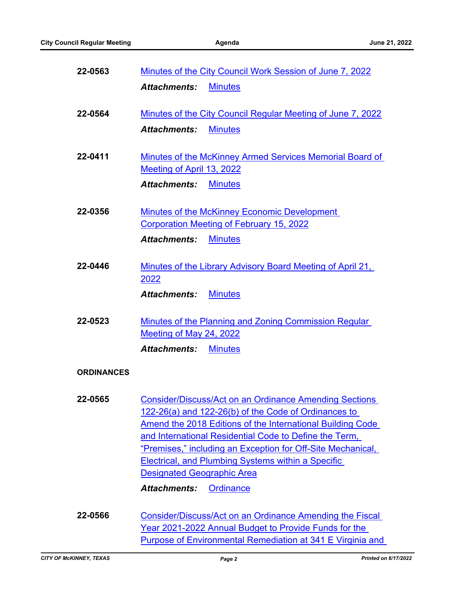| 22-0563           | Minutes of the City Council Work Session of June 7, 2022                                                                                                                                                                                                                                                                                                                                                                                           |  |
|-------------------|----------------------------------------------------------------------------------------------------------------------------------------------------------------------------------------------------------------------------------------------------------------------------------------------------------------------------------------------------------------------------------------------------------------------------------------------------|--|
|                   | <b>Minutes</b><br><b>Attachments:</b>                                                                                                                                                                                                                                                                                                                                                                                                              |  |
| 22-0564           | Minutes of the City Council Regular Meeting of June 7, 2022                                                                                                                                                                                                                                                                                                                                                                                        |  |
|                   | <b>Minutes</b><br><b>Attachments:</b>                                                                                                                                                                                                                                                                                                                                                                                                              |  |
| 22-0411           | Minutes of the McKinney Armed Services Memorial Board of<br>Meeting of April 13, 2022                                                                                                                                                                                                                                                                                                                                                              |  |
|                   | <b>Attachments:</b><br><b>Minutes</b>                                                                                                                                                                                                                                                                                                                                                                                                              |  |
| 22-0356           | Minutes of the McKinney Economic Development<br><b>Corporation Meeting of February 15, 2022</b>                                                                                                                                                                                                                                                                                                                                                    |  |
|                   | <b>Minutes</b><br><b>Attachments:</b>                                                                                                                                                                                                                                                                                                                                                                                                              |  |
| 22-0446           | Minutes of the Library Advisory Board Meeting of April 21,<br>2022                                                                                                                                                                                                                                                                                                                                                                                 |  |
|                   | <b>Minutes</b><br><b>Attachments:</b>                                                                                                                                                                                                                                                                                                                                                                                                              |  |
| 22-0523           | <b>Minutes of the Planning and Zoning Commission Regular</b><br>Meeting of May 24, 2022                                                                                                                                                                                                                                                                                                                                                            |  |
|                   | <b>Minutes</b><br><b>Attachments:</b>                                                                                                                                                                                                                                                                                                                                                                                                              |  |
| <b>ORDINANCES</b> |                                                                                                                                                                                                                                                                                                                                                                                                                                                    |  |
| 22-0565           | <b>Consider/Discuss/Act on an Ordinance Amending Sections</b><br>122-26(a) and 122-26(b) of the Code of Ordinances to<br>Amend the 2018 Editions of the International Building Code<br>and International Residential Code to Define the Term,<br>"Premises," including an Exception for Off-Site Mechanical,<br><b>Electrical, and Plumbing Systems within a Specific</b><br><b>Designated Geographic Area</b><br><b>Attachments:</b><br>Ordinance |  |
| 22-0566           | Consider/Discuss/Act on an Ordinance Amending the Fiscal<br>Year 2021-2022 Annual Budget to Provide Funds for the                                                                                                                                                                                                                                                                                                                                  |  |

[Purpose of Environmental Remediation at 341 E Virginia and](http://mckinney.legistar.com/gateway.aspx?m=l&id=23840)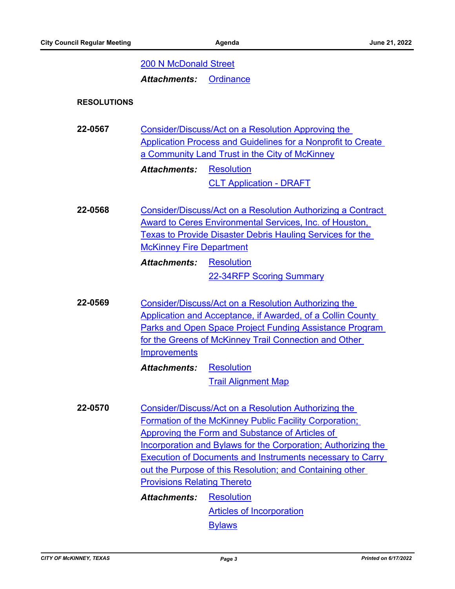#### [200 N McDonald Street](http://mckinney.legistar.com/gateway.aspx?m=l&id=23840)

*Attachments:* [Ordinance](http://McKinney.legistar.com/gateway.aspx?M=F&ID=dde3fd6a-7a42-4039-ad3f-557061baa784.docx)

#### **RESOLUTIONS**

**22-0567** Consider/Discuss/Act on a Resolution Approving the [Application Process and Guidelines for a Nonprofit to Create](http://mckinney.legistar.com/gateway.aspx?m=l&id=23949)  a Community Land Trust in the City of McKinney *Attachments:*

**[Resolution](http://McKinney.legistar.com/gateway.aspx?M=F&ID=d85235a5-8e83-4630-a343-ed010d96f36b.docx)** [CLT Application - DRAFT](http://McKinney.legistar.com/gateway.aspx?M=F&ID=9e4dbc70-c29b-43a6-9a2b-5927fe97dd3e.docx)

**22-0568** [Consider/Discuss/Act on a Resolution Authorizing a Contract](http://mckinney.legistar.com/gateway.aspx?m=l&id=23970)  Award to Ceres Environmental Services, Inc. of Houston, Texas to Provide Disaster Debris Hauling Services for the McKinney Fire Department [Resolution](http://McKinney.legistar.com/gateway.aspx?M=F&ID=8e9c29c5-5bec-4130-83b0-6a35d0325209.docx) *Attachments:*

[22-34RFP Scoring Summary](http://McKinney.legistar.com/gateway.aspx?M=F&ID=b8fd8032-f816-4828-8da7-6bbd33d66ef6.pdf)

**22-0569** Consider/Discuss/Act on a Resolution Authorizing the Application and Acceptance, if Awarded, of a Collin County [Parks and Open Space Project Funding Assistance Program](http://mckinney.legistar.com/gateway.aspx?m=l&id=23978)  for the Greens of McKinney Trail Connection and Other **Improvements** 

> **[Resolution](http://McKinney.legistar.com/gateway.aspx?M=F&ID=1f9f77d3-700b-4f31-80f9-219d136cf6e4.doc)** [Trail Alignment Map](http://McKinney.legistar.com/gateway.aspx?M=F&ID=c142b6d5-c997-455a-abe4-4c33cf45312e.pdf) *Attachments:*

**22-0570** Consider/Discuss/Act on a Resolution Authorizing the Formation of the McKinney Public Facility Corporation; Approving the Form and Substance of Articles of [Incorporation and Bylaws for the Corporation; Authorizing the](http://mckinney.legistar.com/gateway.aspx?m=l&id=23778)  Execution of Documents and Instruments necessary to Carry out the Purpose of this Resolution; and Containing other Provisions Relating Thereto **[Resolution](http://McKinney.legistar.com/gateway.aspx?M=F&ID=303a2fec-aa0d-4773-84de-e71ab8305fb2.docx)** [Articles of Incorporation](http://McKinney.legistar.com/gateway.aspx?M=F&ID=64bf38ac-4f09-4cd4-ae07-05082d66ebb6.pdf) *Attachments:*

**[Bylaws](http://McKinney.legistar.com/gateway.aspx?M=F&ID=8af60696-5c06-4273-ae57-80e8fdf5c644.pdf)**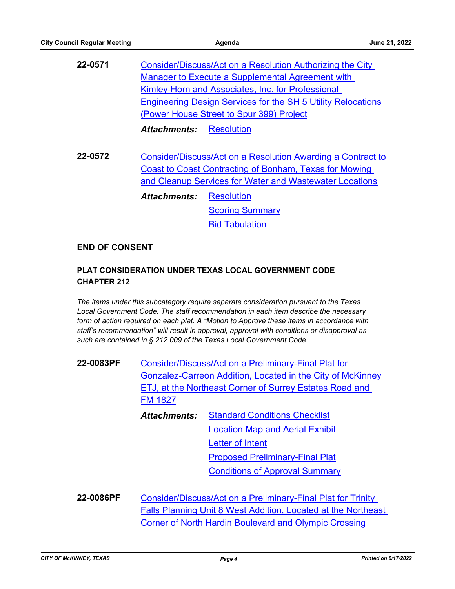| Consider/Discuss/Act on a Resolution Authorizing the City<br>Manager to Execute a Supplemental Agreement with<br>Kimley-Horn and Associates, Inc. for Professional<br><b>Engineering Design Services for the SH 5 Utility Relocations</b><br>(Power House Street to Spur 399) Project |
|---------------------------------------------------------------------------------------------------------------------------------------------------------------------------------------------------------------------------------------------------------------------------------------|
| Resolution<br>Attachments:                                                                                                                                                                                                                                                            |
| Consider/Discuss/Act on a Resolution Awarding a Contract to<br>Coast to Coast Contracting of Bonham, Texas for Mowing<br>and Cleanup Services for Water and Wastewater Locations                                                                                                      |
| <b>Resolution</b><br><b>Attachments:</b><br><b>Scoring Summary</b><br><b>Bid Tabulation</b>                                                                                                                                                                                           |
|                                                                                                                                                                                                                                                                                       |

#### **END OF CONSENT**

# **PLAT CONSIDERATION UNDER TEXAS LOCAL GOVERNMENT CODE CHAPTER 212**

*The items under this subcategory require separate consideration pursuant to the Texas Local Government Code. The staff recommendation in each item describe the necessary form of action required on each plat. A "Motion to Approve these items in accordance with staff's recommendation" will result in approval, approval with conditions or disapproval as such are contained in § 212.009 of the Texas Local Government Code.*

**22-0083PF** Consider/Discuss/Act on a Preliminary-Final Plat for [Gonzalez-Carreon Addition, Located in the City of McKinney](http://mckinney.legistar.com/gateway.aspx?m=l&id=23968)  ETJ, at the Northeast Corner of Surrey Estates Road and FM 1827 [Standard Conditions Checklist](http://McKinney.legistar.com/gateway.aspx?M=F&ID=1d9bb6ae-bd89-4e7a-8098-eda0a3e3d600.pdf) [Location Map and Aerial Exhibit](http://McKinney.legistar.com/gateway.aspx?M=F&ID=c78df87b-0082-4287-84b2-01e8328d46c6.pdf) *Attachments:*

[Letter of Intent](http://McKinney.legistar.com/gateway.aspx?M=F&ID=0df8657d-ce3f-4d7c-8fac-976b4ce71b5f.pdf) [Proposed Preliminary-Final Plat](http://McKinney.legistar.com/gateway.aspx?M=F&ID=558237cf-ccaf-4923-87fd-072fa3100a0f.pdf) [Conditions of Approval Summary](http://McKinney.legistar.com/gateway.aspx?M=F&ID=e0babaef-b75e-4d45-bf53-3277ce565200.pdf)

**22-0086PF** Consider/Discuss/Act on a Preliminary-Final Plat for Trinity [Falls Planning Unit 8 West Addition, Located at the Northeast](http://mckinney.legistar.com/gateway.aspx?m=l&id=23954)  Corner of North Hardin Boulevard and Olympic Crossing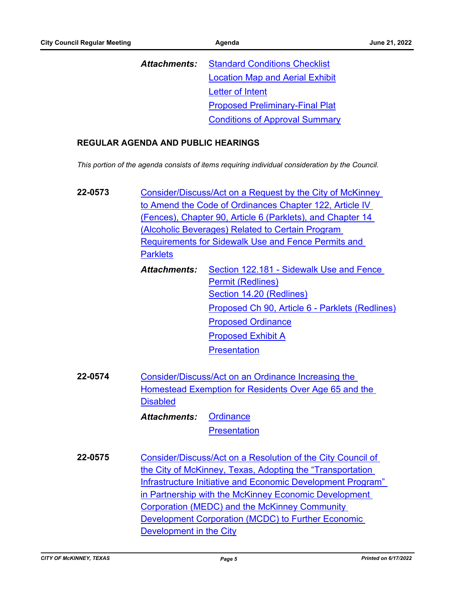| Attachments: | <b>Standard Conditions Checklist</b>   |
|--------------|----------------------------------------|
|              | <b>Location Map and Aerial Exhibit</b> |
|              | Letter of Intent                       |
|              | <b>Proposed Preliminary-Final Plat</b> |
|              | <b>Conditions of Approval Summary</b>  |

#### **REGULAR AGENDA AND PUBLIC HEARINGS**

*This portion of the agenda consists of items requiring individual consideration by the Council.*

- **22-0573** [Consider/Discuss/Act on a Request by the City of McKinney](http://mckinney.legistar.com/gateway.aspx?m=l&id=23942)  to Amend the Code of Ordinances Chapter 122, Article IV (Fences), Chapter 90, Article 6 (Parklets), and Chapter 14 (Alcoholic Beverages) Related to Certain Program Requirements for Sidewalk Use and Fence Permits and **Parklets** 
	- [Section 122.181 Sidewalk Use and Fence](http://McKinney.legistar.com/gateway.aspx?M=F&ID=16bfdcb2-e0e2-43ce-a27a-ba5fdfad040f.pdf)  Permit (Redlines) [Section 14.20 \(Redlines\)](http://McKinney.legistar.com/gateway.aspx?M=F&ID=8e3cc545-4e3e-43f1-b582-4bf981c18bb1.pdf) [Proposed Ch 90, Article 6 - Parklets \(Redlines\)](http://McKinney.legistar.com/gateway.aspx?M=F&ID=84b760fe-0c3f-46c4-8f76-aee916e2f694.pdf) [Proposed Ordinance](http://McKinney.legistar.com/gateway.aspx?M=F&ID=dc95f970-8dff-4692-9837-eb28837388bf.docx) [Proposed Exhibit A](http://McKinney.legistar.com/gateway.aspx?M=F&ID=e14651ed-6c2d-4fd6-b966-22a93aab8c89.pdf) **[Presentation](http://McKinney.legistar.com/gateway.aspx?M=F&ID=d1aa4500-40b8-473c-85e1-6f317d4dd451.pdf)** *Attachments:*
- **22-0574** Consider/Discuss/Act on an Ordinance Increasing the [Homestead Exemption for Residents Over Age 65 and the](http://mckinney.legistar.com/gateway.aspx?m=l&id=23976)  **Disabled [Ordinance](http://McKinney.legistar.com/gateway.aspx?M=F&ID=cf416ba7-1ee4-4f73-b826-88491c6aa003.docx)** *Attachments:*

**[Presentation](http://McKinney.legistar.com/gateway.aspx?M=F&ID=afedc873-8fa0-4139-9735-829cd03a0e0a.pdf)** 

**22-0575** Consider/Discuss/Act on a Resolution of the City Council of the City of McKinney, Texas, Adopting the "Transportation [Infrastructure Initiative and Economic Development Program"](http://mckinney.legistar.com/gateway.aspx?m=l&id=23902)  in Partnership with the McKinney Economic Development Corporation (MEDC) and the McKinney Community Development Corporation (MCDC) to Further Economic Development in the City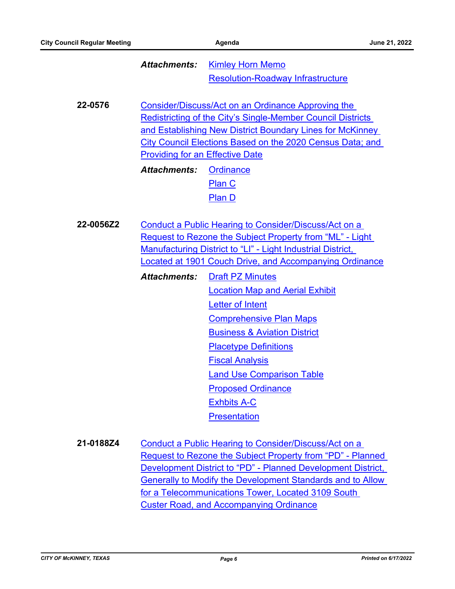[Kimley Horn Memo](http://McKinney.legistar.com/gateway.aspx?M=F&ID=ccca7547-9de7-44d5-84ea-a74f4acd98c7.pdf) [Resolution-Roadway Infrastructure](http://McKinney.legistar.com/gateway.aspx?M=F&ID=2fc3f444-0aae-44e8-af53-27927cca7979.pdf) *Attachments:*

**22-0576** Consider/Discuss/Act on an Ordinance Approving the Redistricting of the City's Single-Member Council Districts and Establishing New District Boundary Lines for McKinney [City Council Elections Based on the 2020 Census Data; and](http://mckinney.legistar.com/gateway.aspx?m=l&id=23775)  Providing for an Effective Date

> **[Ordinance](http://McKinney.legistar.com/gateway.aspx?M=F&ID=bb258bfb-ac63-48c8-b441-373ff11269e5.docx)** [Plan C](http://McKinney.legistar.com/gateway.aspx?M=F&ID=e16fa8bd-efb0-4c4c-a6ac-903002a4c9dc.pdf) [Plan D](http://McKinney.legistar.com/gateway.aspx?M=F&ID=d72868d4-e1a9-455f-8cc1-51e89893fc14.pdf) *Attachments:*

**22-0056Z2** Conduct a Public Hearing to Consider/Discuss/Act on a Request to Rezone the Subject Property from "ML" - Light Manufacturing District to "LI" - Light Industrial District, [Located at 1901 Couch Drive, and Accompanying Ordinance](http://mckinney.legistar.com/gateway.aspx?m=l&id=23951)

- [Draft PZ Minutes](http://McKinney.legistar.com/gateway.aspx?M=F&ID=dc374ad0-8799-433e-8823-6616d145a927.docx) [Location Map and Aerial Exhibit](http://McKinney.legistar.com/gateway.aspx?M=F&ID=b5ea997d-e6c9-4ad7-8bf0-4e5ee723fdd2.pdf) [Letter of Intent](http://McKinney.legistar.com/gateway.aspx?M=F&ID=ec81c025-57fd-49da-86f5-9b63f72f814e.pdf) [Comprehensive Plan Maps](http://McKinney.legistar.com/gateway.aspx?M=F&ID=ecde82bd-46fc-4e7a-9e1f-4df60b08b337.pdf) [Business & Aviation District](http://McKinney.legistar.com/gateway.aspx?M=F&ID=676649ec-9c7e-4d4d-bb14-3ec363db2c2f.pdf) [Placetype Definitions](http://McKinney.legistar.com/gateway.aspx?M=F&ID=f4d40bec-e1b3-4002-95d5-99b3f7cb8945.pdf) [Fiscal Analysis](http://McKinney.legistar.com/gateway.aspx?M=F&ID=9f335fcd-8370-45a3-811a-ca02d3183896.pdf) [Land Use Comparison Table](http://McKinney.legistar.com/gateway.aspx?M=F&ID=9cf6ca2a-a299-4699-8784-0234ef5a7056.pdf) [Proposed Ordinance](http://McKinney.legistar.com/gateway.aspx?M=F&ID=89a4e520-061a-42e4-9de2-ac7830dd415a.doc) [Exhbits A-C](http://McKinney.legistar.com/gateway.aspx?M=F&ID=e991f8d2-28c7-4b8b-9e35-6ea0cee9a817.pdf) **[Presentation](http://McKinney.legistar.com/gateway.aspx?M=F&ID=65f5c5b2-433c-4c80-b84e-28f0bf3ba62f.pdf)** *Attachments:*
- **21-0188Z4** Conduct a Public Hearing to Consider/Discuss/Act on a [Request to Rezone the Subject Property from "PD" - Planned](http://mckinney.legistar.com/gateway.aspx?m=l&id=23810)  Development District to "PD" - Planned Development District, Generally to Modify the Development Standards and to Allow for a Telecommunications Tower, Located 3109 South Custer Road, and Accompanying Ordinance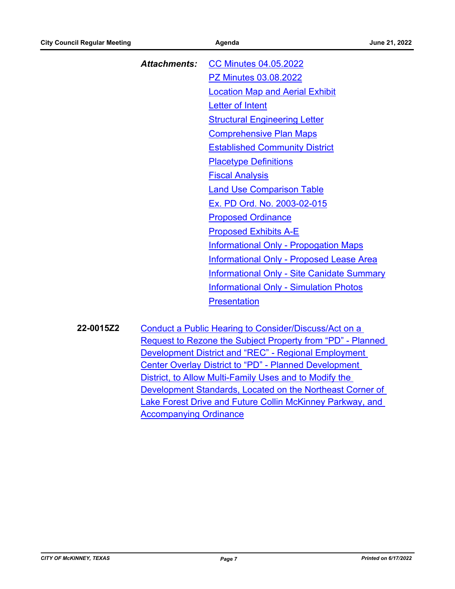| Attachments: CC Minutes 04.05.2022                |
|---------------------------------------------------|
| <b>PZ Minutes 03.08.2022</b>                      |
| <b>Location Map and Aerial Exhibit</b>            |
| Letter of Intent                                  |
| <b>Structural Engineering Letter</b>              |
| <b>Comprehensive Plan Maps</b>                    |
| <b>Established Community District</b>             |
| <b>Placetype Definitions</b>                      |
| <b>Fiscal Analysis</b>                            |
| <b>Land Use Comparison Table</b>                  |
| Ex. PD Ord. No. 2003-02-015                       |
| <b>Proposed Ordinance</b>                         |
| <b>Proposed Exhibits A-E</b>                      |
| <b>Informational Only - Propogation Maps</b>      |
| <b>Informational Only - Proposed Lease Area</b>   |
| <b>Informational Only - Site Canidate Summary</b> |
| <b>Informational Only - Simulation Photos</b>     |
| <b>Presentation</b>                               |
|                                                   |

**22-0015Z2** Conduct a Public Hearing to Consider/Discuss/Act on a [Request to Rezone the Subject Property from "PD" - Planned](http://mckinney.legistar.com/gateway.aspx?m=l&id=23946)  Development District and "REC" - Regional Employment Center Overlay District to "PD" - Planned Development District, to Allow Multi-Family Uses and to Modify the Development Standards, Located on the Northeast Corner of Lake Forest Drive and Future Collin McKinney Parkway, and Accompanying Ordinance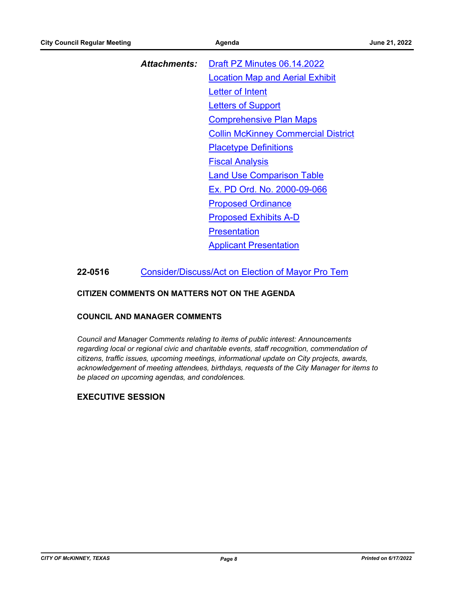| Attachments: | Draft PZ Minutes 06.14.2022                |
|--------------|--------------------------------------------|
|              | <b>Location Map and Aerial Exhibit</b>     |
|              | <b>Letter of Intent</b>                    |
|              | Letters of Support                         |
|              | <b>Comprehensive Plan Maps</b>             |
|              | <b>Collin McKinney Commercial District</b> |
|              | <b>Placetype Definitions</b>               |
|              | <b>Fiscal Analysis</b>                     |
|              | <b>Land Use Comparison Table</b>           |
|              | Ex. PD Ord. No. 2000-09-066                |
|              | <b>Proposed Ordinance</b>                  |
|              | <b>Proposed Exhibits A-D</b>               |
|              | Presentation                               |
|              | <b>Applicant Presentation</b>              |

# **22-0516** [Consider/Discuss/Act on Election of Mayor Pro Tem](http://mckinney.legistar.com/gateway.aspx?m=l&id=23899)

#### **CITIZEN COMMENTS ON MATTERS NOT ON THE AGENDA**

#### **COUNCIL AND MANAGER COMMENTS**

*Council and Manager Comments relating to items of public interest: Announcements regarding local or regional civic and charitable events, staff recognition, commendation of citizens, traffic issues, upcoming meetings, informational update on City projects, awards, acknowledgement of meeting attendees, birthdays, requests of the City Manager for items to be placed on upcoming agendas, and condolences.*

# **EXECUTIVE SESSION**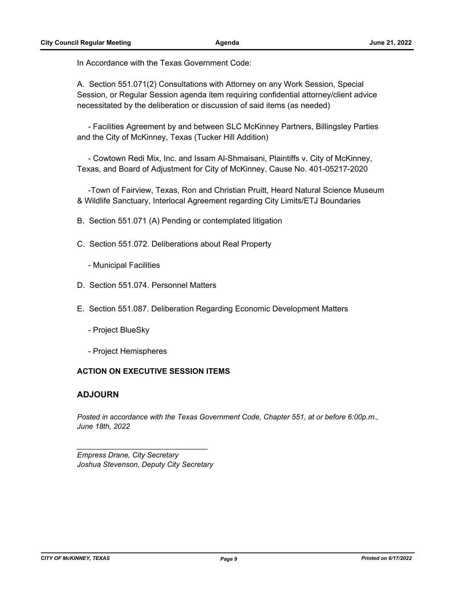In Accordance with the Texas Government Code:

A. Section 551.071(2) Consultations with Attorney on any Work Session, Special Session, or Regular Session agenda item requiring confidential attorney/client advice necessitated by the deliberation or discussion of said items (as needed)

 - Facilities Agreement by and between SLC McKinney Partners, Billingsley Parties and the City of McKinney, Texas (Tucker Hill Addition)

 - Cowtown Redi Mix, Inc. and Issam Al-Shmaisani, Plaintiffs v. City of McKinney, Texas, and Board of Adjustment for City of McKinney, Cause No. 401-05217-2020

 -Town of Fairview, Texas, Ron and Christian Pruitt, Heard Natural Science Museum & Wildlife Sanctuary, Interlocal Agreement regarding City Limits/ETJ Boundaries

B. Section 551.071 (A) Pending or contemplated litigation

- C. Section 551.072. Deliberations about Real Property
	- Municipal Facilities
- D. Section 551.074. Personnel Matters
- E. Section 551.087. Deliberation Regarding Economic Development Matters
	- Project BlueSky
	- Project Hemispheres

#### **ACTION ON EXECUTIVE SESSION ITEMS**

#### **ADJOURN**

*Posted in accordance with the Texas Government Code, Chapter 551, at or before 6:00p.m., June 18th, 2022*

*Empress Drane, City Secretary Joshua Stevenson, Deputy City Secretary*

*\_\_\_\_\_\_\_\_\_\_\_\_\_\_\_\_\_\_\_\_\_\_\_\_\_\_\_\_\_\_\_\_*